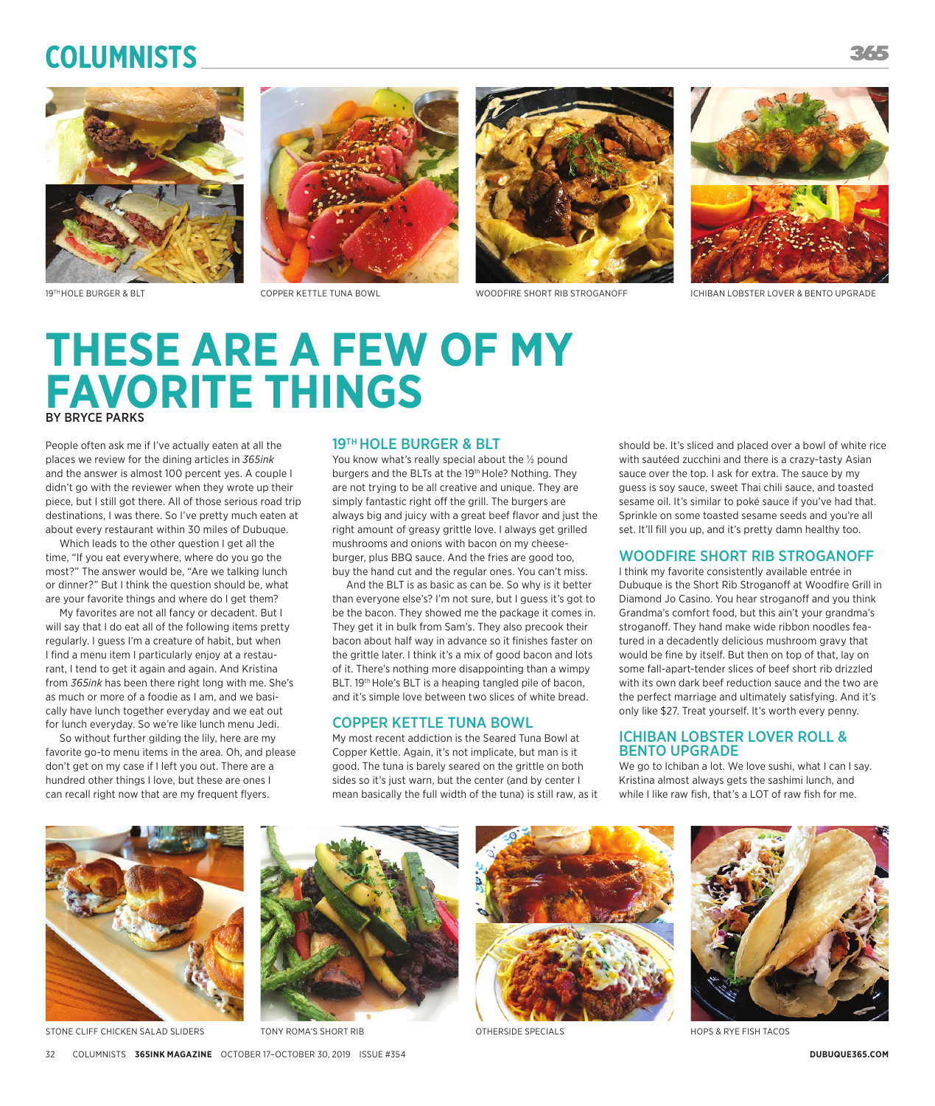# **Columnists**









19TH HOLE BURGER & BLT COPPER KETTLE TUNA BOWL WOODFIRE SHORT RIB STROGANOFF CHIBAN LOBSTER LOVER & BENTO UPGRADE

# **THESE ARE A FEW OF MY FAVORITE THINGS** BY BRYCE PARKS

People often ask me if I've actually eaten at all the places we review for the dining articles in *365ink* and the answer is almost 100 percent yes. A couple I didn't go with the reviewer when they wrote up their piece, but I still got there. All of those serious road trip destinations, I was there. So I've pretty much eaten at about every restaurant within 30 miles of Dubuque.

Which leads to the other question I get all the time, "If you eat everywhere, where do you go the most?" The answer would be, "Are we talking lunch or dinner?" But I think the question should be, what are your favorite things and where do I get them?

My favorites are not all fancy or decadent. But I will say that I do eat all of the following items pretty regularly. I guess I'm a creature of habit, but when I find a menu item I particularly enjoy at a restaurant, I tend to get it again and again. And Kristina from *365ink* has been there right long with me. She's as much or more of a foodie as I am, and we basically have lunch together everyday and we eat out for lunch everyday. So we're like lunch menu Jedi.

So without further gilding the lily, here are my favorite go-to menu items in the area. Oh, and please don't get on my case if I left you out. There are a hundred other things I love, but these are ones I can recall right now that are my frequent flyers.

#### 19TH HOLE BURGER & BLT

You know what's really special about the  $1/2$  pound burgers and the BLTs at the 19<sup>th</sup> Hole? Nothing. They are not trying to be all creative and unique. They are simply fantastic right off the grill. The burgers are always big and juicy with a great beef flavor and just the right amount of greasy grittle love. I always get grilled mushrooms and onions with bacon on my cheeseburger, plus BBQ sauce. And the fries are good too, buy the hand cut and the regular ones. You can't miss.

And the BLT is as basic as can be. So why is it better than everyone else's? I'm not sure, but I guess it's got to be the bacon. They showed me the package it comes in. They get it in bulk from Sam's. They also precook their bacon about half way in advance so it finishes faster on the grittle later. I think it's a mix of good bacon and lots of it. There's nothing more disappointing than a wimpy BLT. 19<sup>th</sup> Hole's BLT is a heaping tangled pile of bacon, and it's simple love between two slices of white bread.

#### COPPER KETTLE TUNA BOWL

My most recent addiction is the Seared Tuna Bowl at Copper Kettle. Again, it's not implicate, but man is it good. The tuna is barely seared on the grittle on both sides so it's just warn, but the center (and by center I mean basically the full width of the tuna) is still raw, as it

should be. It's sliced and placed over a bowl of white rice with sautéed zucchini and there is a crazy-tasty Asian sauce over the top. I ask for extra. The sauce by my guess is soy sauce, sweet Thai chili sauce, and toasted sesame oil. It's similar to poké sauce if you've had that. Sprinkle on some toasted sesame seeds and you're all set. It'll fill you up, and it's pretty damn healthy too.

### WOODFIRE SHORT RIB STROGANOFF

I think my favorite consistently available entrée in Dubuque is the Short Rib Stroganoff at Woodfire Grill in Diamond Jo Casino. You hear stroganoff and you think Grandma's comfort food, but this ain't your grandma's stroganoff. They hand make wide ribbon noodles featured in a decadently delicious mushroom gravy that would be fine by itself. But then on top of that, lay on some fall-apart-tender slices of beef short rib drizzled with its own dark beef reduction sauce and the two are the perfect marriage and ultimately satisfying. And it's only like \$27. Treat yourself. It's worth every penny.

#### ICHIBAN LOBSTER LOVER ROLL & BENTO UPGRADE

We go to Ichiban a lot. We love sushi, what I can I say. Kristina almost always gets the sashimi lunch, and while I like raw fish, that's a LOT of raw fish for me.



STONE CLIFF CHICKEN SALAD SLIDERS TONY ROMA'S SHORT RIB OTHERSIDE SPECIALS TON CHICKEN SALAD SLIDERS TACOS